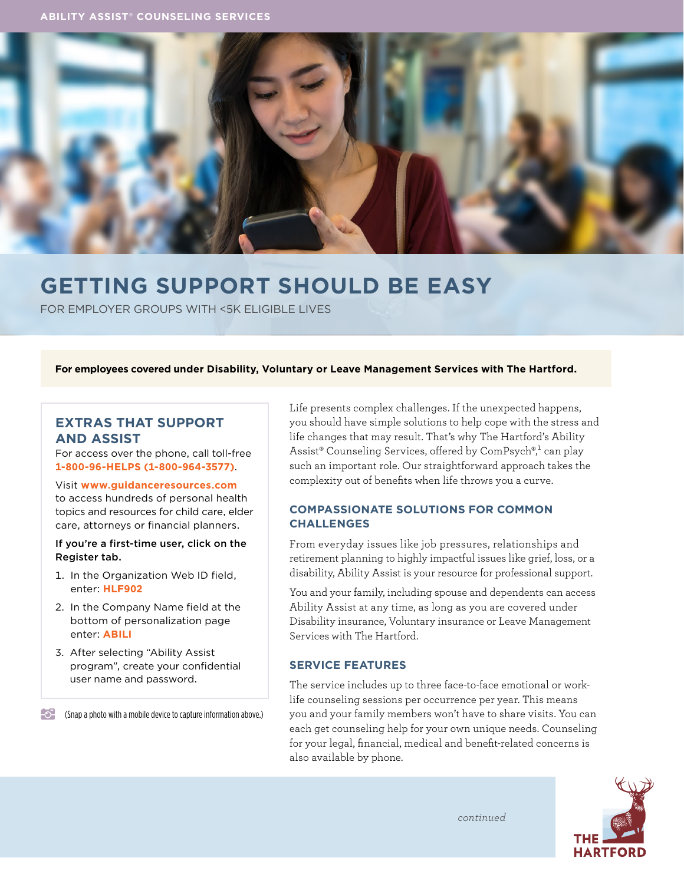

# **GETTING SUPPORT SHOULD BE EASY**

FOR EMPLOYER GROUPS WITH <5K ELIGIBLE LIVES

#### **For employees covered under Disability, Voluntary or Leave Management Services with The Hartford.**

# **EXTRAS THAT SUPPORT AND ASSIST**

For access over the phone, call toll-free **1-800-96-HELPS (1-800-964-3577)**.

### Visit **[www.guidanceresources.com](http://www.guidanceresources.com)** to access hundreds of personal health topics and resources for child care, elder care, attorneys or financial planners.

#### If you're a first-time user, click on the Register tab.

- 1. In the Organization Web ID field, enter: **HLF902**
- 2. In the Company Name field at the bottom of personalization page enter: **ABILI**
- 3. After selecting "Ability Assist program", create your confidential user name and password.

(Snap a photo with a mobile device to capture information above.)

Life presents complex challenges. If the unexpected happens, you should have simple solutions to help cope with the stress and life changes that may result. That's why The Hartford's Ability Assist® Counseling Services, offered by ComPsych®,<sup>1</sup> can play such an important role. Our straightforward approach takes the complexity out of benefits when life throws you a curve.

## **COMPASSIONATE SOLUTIONS FOR COMMON CHALLENGES**

From everyday issues like job pressures, relationships and retirement planning to highly impactful issues like grief, loss, or a disability, Ability Assist is your resource for professional support.

You and your family, including spouse and dependents can access Ability Assist at any time, as long as you are covered under Disability insurance, Voluntary insurance or Leave Management Services with The Hartford.

## **SERVICE FEATURES**

The service includes up to three face-to-face emotional or worklife counseling sessions per occurrence per year. This means you and your family members won't have to share visits. You can each get counseling help for your own unique needs. Counseling for your legal, financial, medical and benefit-related concerns is also available by phone.

*continued*